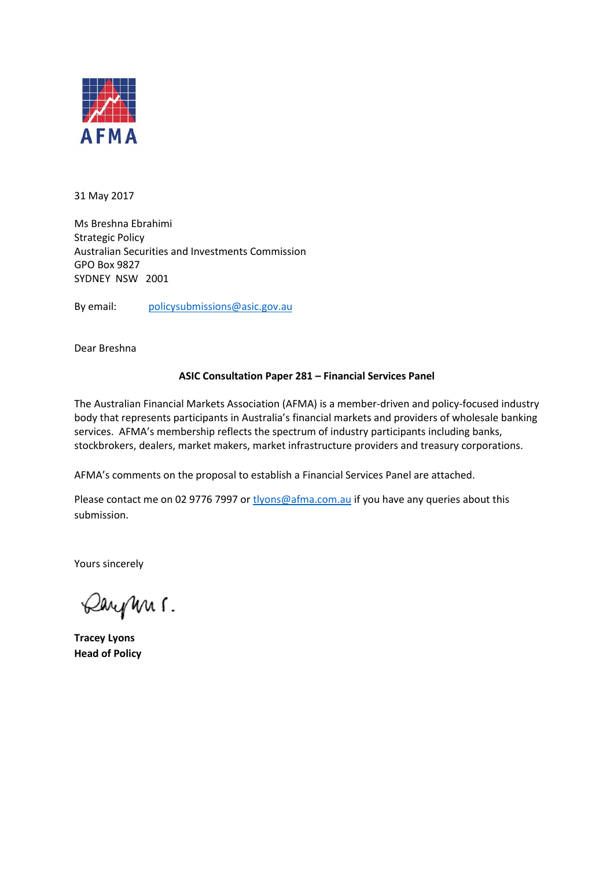

31 May 2017

Ms Breshna Ebrahimi Strategic Policy Australian Securities and Investments Commission GPO Box 9827 SYDNEY NSW 2001

By email: [policysubmissions@asic.gov.au](mailto:policysubmissions@asic.gov.au)

Dear Breshna

#### **ASIC Consultation Paper 281 – Financial Services Panel**

The Australian Financial Markets Association (AFMA) is a member-driven and policy-focused industry body that represents participants in Australia's financial markets and providers of wholesale banking services. AFMA's membership reflects the spectrum of industry participants including banks, stockbrokers, dealers, market makers, market infrastructure providers and treasury corporations.

AFMA's comments on the proposal to establish a Financial Services Panel are attached.

Please contact me on 02 9776 7997 or [tlyons@afma.com.au](mailto:tlyons@afma.com.au) if you have any queries about this submission.

Yours sincerely

Dayn 1.

**Tracey Lyons Head of Policy**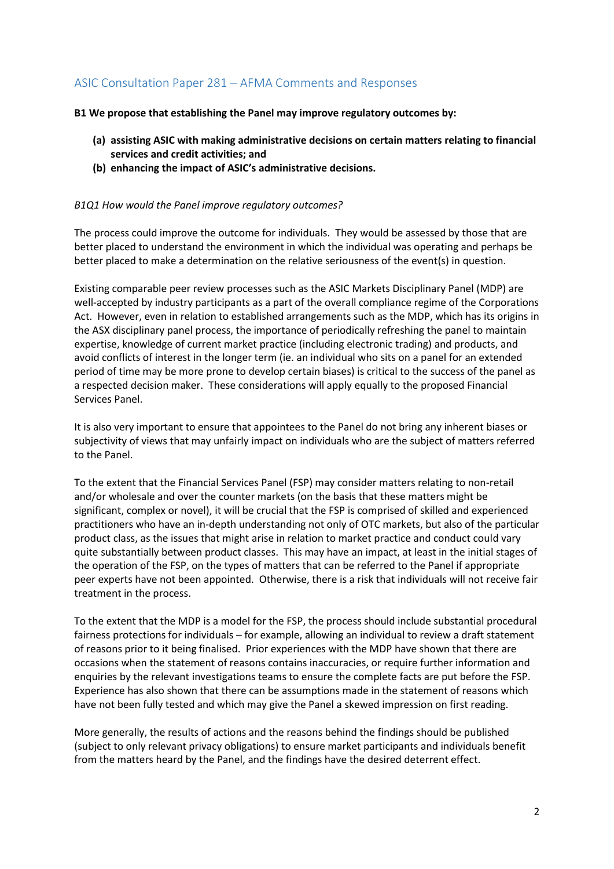# ASIC Consultation Paper 281 – AFMA Comments and Responses

**B1 We propose that establishing the Panel may improve regulatory outcomes by:** 

- **(a) assisting ASIC with making administrative decisions on certain matters relating to financial services and credit activities; and**
- **(b) enhancing the impact of ASIC's administrative decisions.**

#### *B1Q1 How would the Panel improve regulatory outcomes?*

The process could improve the outcome for individuals. They would be assessed by those that are better placed to understand the environment in which the individual was operating and perhaps be better placed to make a determination on the relative seriousness of the event(s) in question.

Existing comparable peer review processes such as the ASIC Markets Disciplinary Panel (MDP) are well-accepted by industry participants as a part of the overall compliance regime of the Corporations Act. However, even in relation to established arrangements such as the MDP, which has its origins in the ASX disciplinary panel process, the importance of periodically refreshing the panel to maintain expertise, knowledge of current market practice (including electronic trading) and products, and avoid conflicts of interest in the longer term (ie. an individual who sits on a panel for an extended period of time may be more prone to develop certain biases) is critical to the success of the panel as a respected decision maker. These considerations will apply equally to the proposed Financial Services Panel.

It is also very important to ensure that appointees to the Panel do not bring any inherent biases or subjectivity of views that may unfairly impact on individuals who are the subject of matters referred to the Panel.

To the extent that the Financial Services Panel (FSP) may consider matters relating to non-retail and/or wholesale and over the counter markets (on the basis that these matters might be significant, complex or novel), it will be crucial that the FSP is comprised of skilled and experienced practitioners who have an in-depth understanding not only of OTC markets, but also of the particular product class, as the issues that might arise in relation to market practice and conduct could vary quite substantially between product classes. This may have an impact, at least in the initial stages of the operation of the FSP, on the types of matters that can be referred to the Panel if appropriate peer experts have not been appointed. Otherwise, there is a risk that individuals will not receive fair treatment in the process.

To the extent that the MDP is a model for the FSP, the process should include substantial procedural fairness protections for individuals – for example, allowing an individual to review a draft statement of reasons prior to it being finalised. Prior experiences with the MDP have shown that there are occasions when the statement of reasons contains inaccuracies, or require further information and enquiries by the relevant investigations teams to ensure the complete facts are put before the FSP. Experience has also shown that there can be assumptions made in the statement of reasons which have not been fully tested and which may give the Panel a skewed impression on first reading.

More generally, the results of actions and the reasons behind the findings should be published (subject to only relevant privacy obligations) to ensure market participants and individuals benefit from the matters heard by the Panel, and the findings have the desired deterrent effect.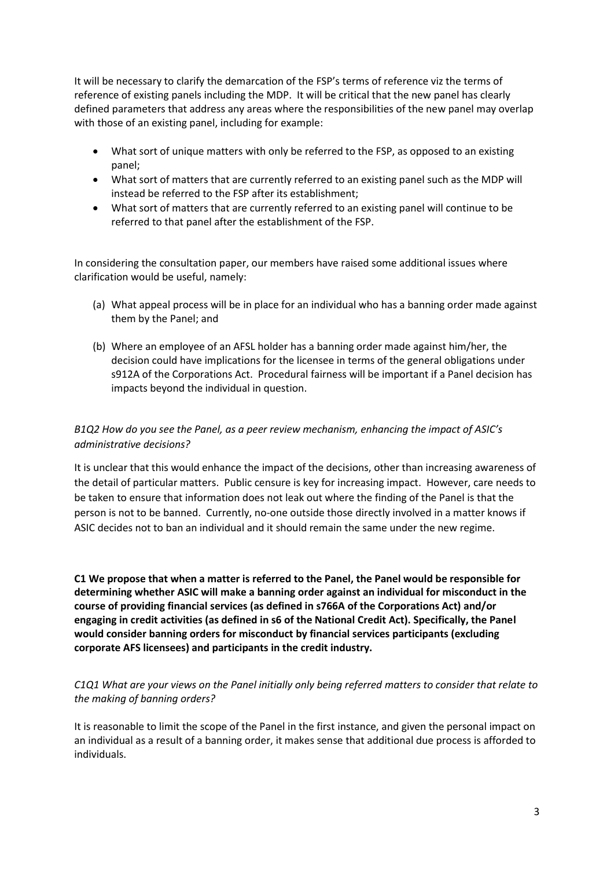It will be necessary to clarify the demarcation of the FSP's terms of reference viz the terms of reference of existing panels including the MDP. It will be critical that the new panel has clearly defined parameters that address any areas where the responsibilities of the new panel may overlap with those of an existing panel, including for example:

- What sort of unique matters with only be referred to the FSP, as opposed to an existing panel;
- What sort of matters that are currently referred to an existing panel such as the MDP will instead be referred to the FSP after its establishment;
- What sort of matters that are currently referred to an existing panel will continue to be referred to that panel after the establishment of the FSP.

In considering the consultation paper, our members have raised some additional issues where clarification would be useful, namely:

- (a) What appeal process will be in place for an individual who has a banning order made against them by the Panel; and
- (b) Where an employee of an AFSL holder has a banning order made against him/her, the decision could have implications for the licensee in terms of the general obligations under s912A of the Corporations Act. Procedural fairness will be important if a Panel decision has impacts beyond the individual in question.

## *B1Q2 How do you see the Panel, as a peer review mechanism, enhancing the impact of ASIC's administrative decisions?*

It is unclear that this would enhance the impact of the decisions, other than increasing awareness of the detail of particular matters. Public censure is key for increasing impact. However, care needs to be taken to ensure that information does not leak out where the finding of the Panel is that the person is not to be banned. Currently, no-one outside those directly involved in a matter knows if ASIC decides not to ban an individual and it should remain the same under the new regime.

**C1 We propose that when a matter is referred to the Panel, the Panel would be responsible for determining whether ASIC will make a banning order against an individual for misconduct in the course of providing financial services (as defined in s766A of the Corporations Act) and/or engaging in credit activities (as defined in s6 of the National Credit Act). Specifically, the Panel would consider banning orders for misconduct by financial services participants (excluding corporate AFS licensees) and participants in the credit industry.** 

### *C1Q1 What are your views on the Panel initially only being referred matters to consider that relate to the making of banning orders?*

It is reasonable to limit the scope of the Panel in the first instance, and given the personal impact on an individual as a result of a banning order, it makes sense that additional due process is afforded to individuals.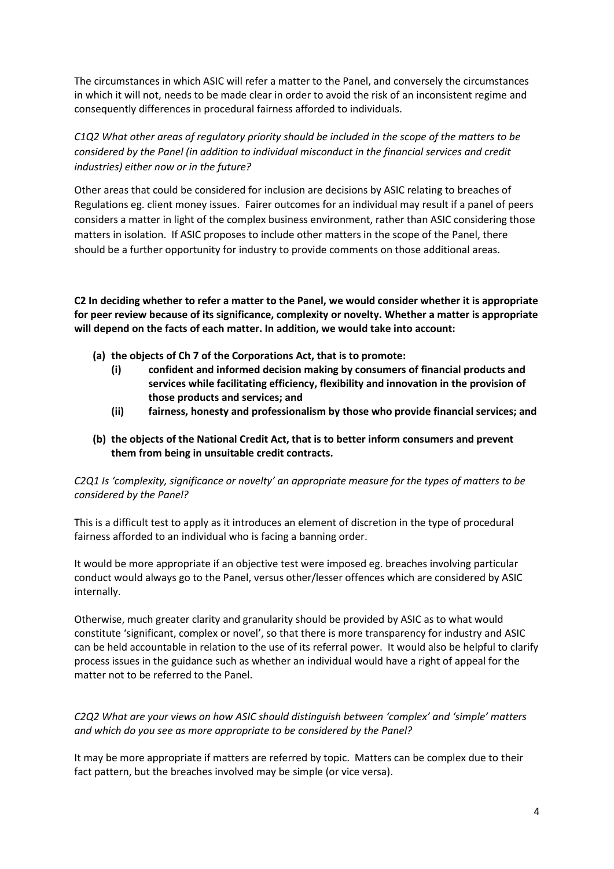The circumstances in which ASIC will refer a matter to the Panel, and conversely the circumstances in which it will not, needs to be made clear in order to avoid the risk of an inconsistent regime and consequently differences in procedural fairness afforded to individuals.

*C1Q2 What other areas of regulatory priority should be included in the scope of the matters to be considered by the Panel (in addition to individual misconduct in the financial services and credit industries) either now or in the future?*

Other areas that could be considered for inclusion are decisions by ASIC relating to breaches of Regulations eg. client money issues. Fairer outcomes for an individual may result if a panel of peers considers a matter in light of the complex business environment, rather than ASIC considering those matters in isolation. If ASIC proposes to include other matters in the scope of the Panel, there should be a further opportunity for industry to provide comments on those additional areas.

**C2 In deciding whether to refer a matter to the Panel, we would consider whether it is appropriate for peer review because of its significance, complexity or novelty. Whether a matter is appropriate will depend on the facts of each matter. In addition, we would take into account:** 

- **(a) the objects of Ch 7 of the Corporations Act, that is to promote:**
	- **(i) confident and informed decision making by consumers of financial products and services while facilitating efficiency, flexibility and innovation in the provision of those products and services; and**
	- **(ii) fairness, honesty and professionalism by those who provide financial services; and**
- **(b) the objects of the National Credit Act, that is to better inform consumers and prevent them from being in unsuitable credit contracts.**

*C2Q1 Is 'complexity, significance or novelty' an appropriate measure for the types of matters to be considered by the Panel?* 

This is a difficult test to apply as it introduces an element of discretion in the type of procedural fairness afforded to an individual who is facing a banning order.

It would be more appropriate if an objective test were imposed eg. breaches involving particular conduct would always go to the Panel, versus other/lesser offences which are considered by ASIC internally.

Otherwise, much greater clarity and granularity should be provided by ASIC as to what would constitute 'significant, complex or novel', so that there is more transparency for industry and ASIC can be held accountable in relation to the use of its referral power. It would also be helpful to clarify process issues in the guidance such as whether an individual would have a right of appeal for the matter not to be referred to the Panel.

*C2Q2 What are your views on how ASIC should distinguish between 'complex' and 'simple' matters and which do you see as more appropriate to be considered by the Panel?* 

It may be more appropriate if matters are referred by topic. Matters can be complex due to their fact pattern, but the breaches involved may be simple (or vice versa).